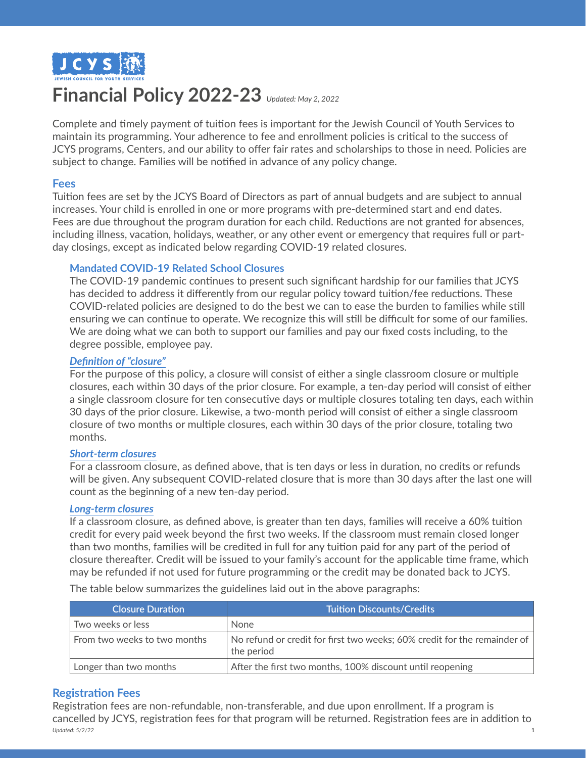

# **Financial Policy 2022-23** *Updated: May 2, 2022*

Complete and timely payment of tuition fees is important for the Jewish Council of Youth Services to maintain its programming. Your adherence to fee and enrollment policies is critical to the success of JCYS programs, Centers, and our ability to offer fair rates and scholarships to those in need. Policies are subject to change. Families will be notified in advance of any policy change.

#### **Fees**

Tuition fees are set by the JCYS Board of Directors as part of annual budgets and are subject to annual increases. Your child is enrolled in one or more programs with pre-determined start and end dates. Fees are due throughout the program duration for each child. Reductions are not granted for absences, including illness, vacation, holidays, weather, or any other event or emergency that requires full or partday closings, except as indicated below regarding COVID-19 related closures.

#### **Mandated COVID-19 Related School Closures**

The COVID-19 pandemic continues to present such significant hardship for our families that JCYS has decided to address it differently from our regular policy toward tuition/fee reductions. These COVID-related policies are designed to do the best we can to ease the burden to families while still ensuring we can continue to operate. We recognize this will still be difficult for some of our families. We are doing what we can both to support our families and pay our fixed costs including, to the degree possible, employee pay.

#### *Definition of "closure"*

For the purpose of this policy, a closure will consist of either a single classroom closure or multiple closures, each within 30 days of the prior closure. For example, a ten-day period will consist of either a single classroom closure for ten consecutive days or multiple closures totaling ten days, each within 30 days of the prior closure. Likewise, a two-month period will consist of either a single classroom closure of two months or multiple closures, each within 30 days of the prior closure, totaling two months.

#### *Short-term closures*

For a classroom closure, as defined above, that is ten days or less in duration, no credits or refunds will be given. Any subsequent COVID-related closure that is more than 30 days after the last one will count as the beginning of a new ten-day period.

#### *Long-term closures*

If a classroom closure, as defined above, is greater than ten days, families will receive a 60% tuition credit for every paid week beyond the first two weeks. If the classroom must remain closed longer than two months, families will be credited in full for any tuition paid for any part of the period of closure thereafter. Credit will be issued to your family's account for the applicable time frame, which may be refunded if not used for future programming or the credit may be donated back to JCYS.

**Closure Duration Tuition Discounts/Credits** Two weeks or less None From two weeks to two months  $\blacksquare$  No refund or credit for first two weeks; 60% credit for the remainder of the period Longer than two months **After the first two months, 100% discount until reopening** 

The table below summarizes the guidelines laid out in the above paragraphs:

## **Registration Fees**

Registration fees are non-refundable, non-transferable, and due upon enrollment. If a program is cancelled by JCYS, registration fees for that program will be returned. Registration fees are in addition to *Updated: 5/2/22* 1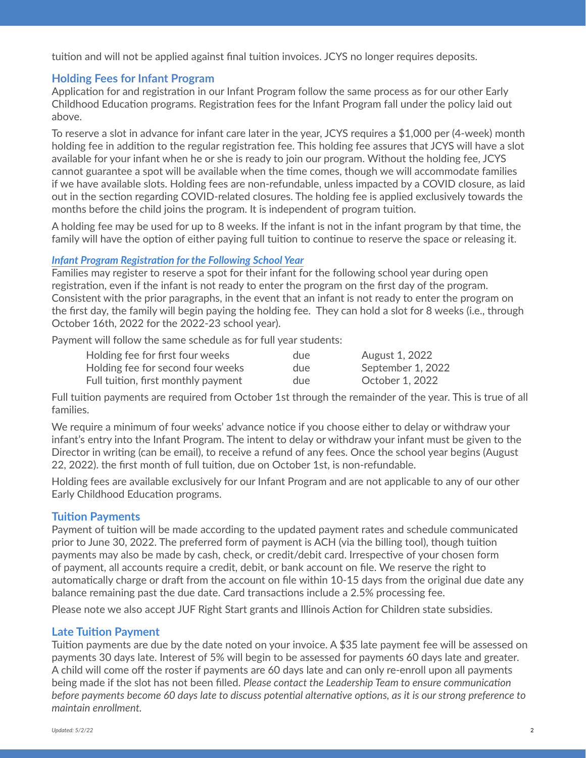tuition and will not be applied against final tuition invoices. JCYS no longer requires deposits.

# **Holding Fees for Infant Program**

Application for and registration in our Infant Program follow the same process as for our other Early Childhood Education programs. Registration fees for the Infant Program fall under the policy laid out above.

To reserve a slot in advance for infant care later in the year, JCYS requires a \$1,000 per (4-week) month holding fee in addition to the regular registration fee. This holding fee assures that JCYS will have a slot available for your infant when he or she is ready to join our program. Without the holding fee, JCYS cannot guarantee a spot will be available when the time comes, though we will accommodate families if we have available slots. Holding fees are non-refundable, unless impacted by a COVID closure, as laid out in the section regarding COVID-related closures. The holding fee is applied exclusively towards the months before the child joins the program. It is independent of program tuition.

A holding fee may be used for up to 8 weeks. If the infant is not in the infant program by that time, the family will have the option of either paying full tuition to continue to reserve the space or releasing it.

#### *Infant Program Registration for the Following School Year*

Families may register to reserve a spot for their infant for the following school year during open registration, even if the infant is not ready to enter the program on the first day of the program. Consistent with the prior paragraphs, in the event that an infant is not ready to enter the program on the first day, the family will begin paying the holding fee. They can hold a slot for 8 weeks (i.e., through October 16th, 2022 for the 2022-23 school year).

Payment will follow the same schedule as for full year students:

| Holding fee for first four weeks    | due | August 1, 2022    |
|-------------------------------------|-----|-------------------|
| Holding fee for second four weeks   | due | September 1, 2022 |
| Full tuition, first monthly payment | due | October 1, 2022   |

Full tuition payments are required from October 1st through the remainder of the year. This is true of all families.

We require a minimum of four weeks' advance notice if you choose either to delay or withdraw your infant's entry into the Infant Program. The intent to delay or withdraw your infant must be given to the Director in writing (can be email), to receive a refund of any fees. Once the school year begins (August 22, 2022). the first month of full tuition, due on October 1st, is non-refundable.

Holding fees are available exclusively for our Infant Program and are not applicable to any of our other Early Childhood Education programs.

## **Tuition Payments**

Payment of tuition will be made according to the updated payment rates and schedule communicated prior to June 30, 2022. The preferred form of payment is ACH (via the billing tool), though tuition payments may also be made by cash, check, or credit/debit card. Irrespective of your chosen form of payment, all accounts require a credit, debit, or bank account on file. We reserve the right to automatically charge or draft from the account on file within 10-15 days from the original due date any balance remaining past the due date. Card transactions include a 2.5% processing fee.

Please note we also accept JUF Right Start grants and Illinois Action for Children state subsidies.

## **Late Tuition Payment**

Tuition payments are due by the date noted on your invoice. A \$35 late payment fee will be assessed on payments 30 days late. Interest of 5% will begin to be assessed for payments 60 days late and greater. A child will come off the roster if payments are 60 days late and can only re-enroll upon all payments being made if the slot has not been filled. *Please contact the Leadership Team to ensure communication before payments become 60 days late to discuss potential alternative options, as it is our strong preference to maintain enrollment.*